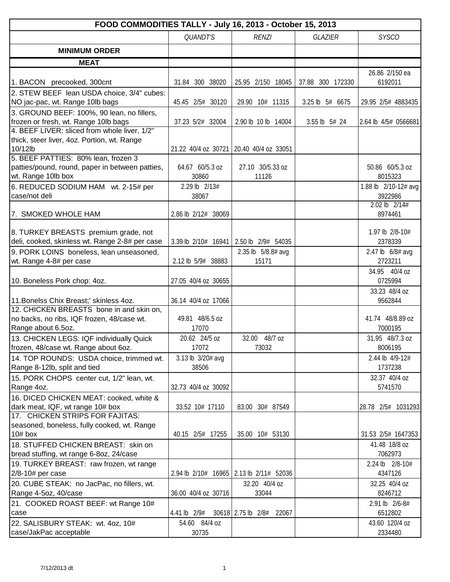| FOOD COMMODITIES TALLY - July 16, 2013 - October 15, 2013 |                     |                                         |                  |                           |  |  |  |  |  |
|-----------------------------------------------------------|---------------------|-----------------------------------------|------------------|---------------------------|--|--|--|--|--|
|                                                           | QUANDT'S            | <b>RENZI</b>                            | <b>GLAZIER</b>   | <b>SYSCO</b>              |  |  |  |  |  |
| <b>MINIMUM ORDER</b>                                      |                     |                                         |                  |                           |  |  |  |  |  |
|                                                           |                     |                                         |                  |                           |  |  |  |  |  |
| <b>MEAT</b>                                               |                     |                                         |                  |                           |  |  |  |  |  |
| 1. BACON precooked, 300cnt                                | 31.84 300 38020     | 25.95 2/150 18045                       | 37.88 300 172330 | 26.86 2/150 ea<br>6192011 |  |  |  |  |  |
| 2. STEW BEEF lean USDA choice, 3/4" cubes:                |                     |                                         |                  |                           |  |  |  |  |  |
| NO jac-pac, wt. Range 10lb bags                           | 45.45 2/5# 30120    | 29.90 10# 11315                         | 3.25 lb 5# 6675  | 29.95 2/5# 4883435        |  |  |  |  |  |
| 3. GROUND BEEF: 100%, 90 lean, no fillers,                |                     |                                         |                  |                           |  |  |  |  |  |
| frozen or fresh, wt. Range 10lb bags                      | 37.23 5/2# 32004    | 2.90 lb 10 lb 14004                     | 3.55 lb 5# 24    | 2.64 lb 4/5# 0566681      |  |  |  |  |  |
| 4. BEEF LIVER: sliced from whole liver, 1/2"              |                     |                                         |                  |                           |  |  |  |  |  |
| thick, steer liver, 4oz. Portion, wt. Range<br>10/12lb    |                     | 21.22 40/4 oz 30721 20.40 40/4 oz 33051 |                  |                           |  |  |  |  |  |
| 5. BEEF PATTIES: 80% lean, frozen 3                       |                     |                                         |                  |                           |  |  |  |  |  |
| patties/pound, round, paper in between patties,           | 64.67 60/5.3 oz     | 27.10 30/5.33 oz                        |                  | 50.86 60/5.3 oz           |  |  |  |  |  |
| wt. Range 10lb box                                        | 30860               | 11126                                   |                  | 8015323                   |  |  |  |  |  |
| 6. REDUCED SODIUM HAM wt. 2-15# per                       | 2.29 lb 2/13#       |                                         |                  | 1.88 lb 2/10-12# avg      |  |  |  |  |  |
| case/not deli                                             | 38067               |                                         |                  | 3922986                   |  |  |  |  |  |
|                                                           |                     |                                         |                  | 2.02 lb 2/14#             |  |  |  |  |  |
| 7. SMOKED WHOLE HAM                                       | 2.86 lb 2/12# 38069 |                                         |                  | 8974461                   |  |  |  |  |  |
|                                                           |                     |                                         |                  |                           |  |  |  |  |  |
| 8. TURKEY BREASTS premium grade, not                      |                     |                                         |                  | 1.97 lb 2/8-10#           |  |  |  |  |  |
| deli, cooked, skinless wt. Range 2-8# per case            | 3.39 lb 2/10# 16941 | 2.50 lb 2/9# 54035                      |                  | 2378339                   |  |  |  |  |  |
| 9. PORK LOINS boneless, lean unseasoned,                  |                     | 2.35 lb 5/8.8# avg                      |                  | 2.47 lb 6/8# avg          |  |  |  |  |  |
| wt. Range 4-8# per case                                   | 2.12 lb 5/9# 38883  | 15171                                   |                  | 2723211                   |  |  |  |  |  |
|                                                           |                     |                                         |                  | 34.95 40/4 oz             |  |  |  |  |  |
| 10. Boneless Pork chop: 4oz.                              | 27.05 40/4 oz 30655 |                                         |                  | 0725994                   |  |  |  |  |  |
| 11. Bonelss Chix Breast;' skinless 4oz.                   | 36.14 40/4 oz 17066 |                                         |                  | 33.23 48/4 oz<br>9562844  |  |  |  |  |  |
| 12. CHICKEN BREASTS bone in and skin on,                  |                     |                                         |                  |                           |  |  |  |  |  |
| no backs, no ribs, IQF frozen, 48/case wt.                | 49.81 48/6.5 oz     |                                         |                  | 41.74 48/8.89 oz          |  |  |  |  |  |
| Range about 6.5oz.                                        | 17070               |                                         |                  | 7000195                   |  |  |  |  |  |
| 13. CHICKEN LEGS: IQF individually Quick                  | 20.62 24/5 oz       | 32.00 48/7 oz                           |                  | 31.95 48/7.3 oz           |  |  |  |  |  |
| frozen, 48/case wt. Range about 6oz.                      | 17072               | 73032                                   |                  | 8006195                   |  |  |  |  |  |
| 14. TOP ROUNDS: USDA choice, trimmed wt.                  | 3.13 lb 3/20# avg   |                                         |                  | 2.44 lb 4/9-12#           |  |  |  |  |  |
| Range 8-12lb, split and tied                              | 38506               |                                         |                  | 1737238                   |  |  |  |  |  |
| 15. PORK CHOPS center cut, 1/2" lean, wt.                 |                     |                                         |                  | 32.37 40/4 oz             |  |  |  |  |  |
| Range 4oz.                                                | 32.73 40/4 oz 30092 |                                         |                  | 5741570                   |  |  |  |  |  |
| 16. DICED CHICKEN MEAT: cooked, white &                   |                     |                                         |                  |                           |  |  |  |  |  |
| dark meat, IQF, wt range 10# box                          | 33.52 10# 17110     | 83.00 30# 87549                         |                  | 28.78 2/5# 1031293        |  |  |  |  |  |
| 17. CHICKEN STRIPS FOR FAJITAS:                           |                     |                                         |                  |                           |  |  |  |  |  |
| seasoned, boneless, fully cooked, wt. Range<br>$10#$ box  | 40.15 2/5# 17255    | 35.00 10# 53130                         |                  | 31.53 2/5# 1647353        |  |  |  |  |  |
| 18. STUFFED CHICKEN BREAST: skin on                       |                     |                                         |                  | 41.48 18/8 oz             |  |  |  |  |  |
| bread stuffing, wt range 6-8oz, 24/case                   |                     |                                         |                  | 7062973                   |  |  |  |  |  |
| 19. TURKEY BREAST: raw frozen, wt range                   |                     |                                         |                  | 2.24 lb 2/8-10#           |  |  |  |  |  |
| 2/8-10# per case                                          |                     | 2.94 lb 2/10# 16965 2.13 lb 2/11# 52036 |                  | 4347126                   |  |  |  |  |  |
| 20. CUBE STEAK: no JacPac, no fillers, wt.                |                     | 32.20 40/4 oz                           |                  | 32.25 40/4 oz             |  |  |  |  |  |
| Range 4-5oz, 40/case                                      | 36.00 40/4 oz 30716 | 33044                                   |                  | 8246712                   |  |  |  |  |  |
| 21. COOKED ROAST BEEF: wt Range 10#                       |                     |                                         |                  | 2.91 lb 2/6-8#            |  |  |  |  |  |
| case                                                      | 4.41 lb 2/9#        | 30618 2.75 lb 2/8# 22067                |                  | 6512802                   |  |  |  |  |  |
| 22. SALISBURY STEAK: wt. 4oz, 10#                         | 54.60 84/4 oz       |                                         |                  | 43.60 120/4 oz            |  |  |  |  |  |
| case/JakPac acceptable                                    | 30735               |                                         |                  | 2334480                   |  |  |  |  |  |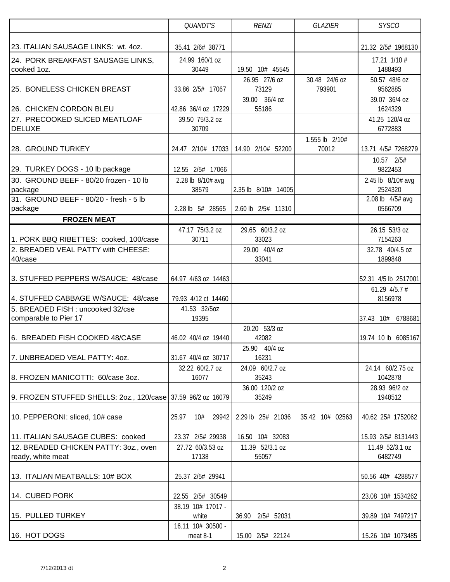|                                                              | QUANDT'S                   | <b>RENZI</b>                        | <b>GLAZIER</b>          | <b>SYSCO</b>                 |
|--------------------------------------------------------------|----------------------------|-------------------------------------|-------------------------|------------------------------|
|                                                              |                            |                                     |                         |                              |
| 23. ITALIAN SAUSAGE LINKS: wt. 4oz.                          | 35.41 2/6# 38771           |                                     |                         | 21.32 2/5# 1968130           |
| 24. PORK BREAKFAST SAUSAGE LINKS,                            | 24.99 160/1 oz             |                                     |                         | $17.21$ $1/10$ #             |
| cooked 1oz.                                                  | 30449                      | 19.50 10# 45545                     |                         | 1488493                      |
| 25. BONELESS CHICKEN BREAST                                  | 33.86 2/5# 17067           | 26.95 27/6 oz<br>73129              | 30.48 24/6 oz<br>793901 | 50.57 48/6 oz<br>9562885     |
|                                                              |                            | 39.00 36/4 oz                       |                         | 39.07 36/4 oz                |
| 26. CHICKEN CORDON BLEU                                      | 42.86 36/4 oz 17229        | 55186                               |                         | 1624329                      |
| 27. PRECOOKED SLICED MEATLOAF                                | 39.50 75/3.2 oz            |                                     |                         | 41.25 120/4 oz               |
| <b>DELUXE</b>                                                | 30709                      |                                     |                         | 6772883                      |
|                                                              |                            |                                     | 1.555 lb 2/10#          |                              |
| 28. GROUND TURKEY                                            |                            | 24.47 2/10# 17033 14.90 2/10# 52200 | 70012                   | 13.71 4/5# 7268279           |
|                                                              |                            |                                     |                         | 10.57 2/5#                   |
| 29. TURKEY DOGS - 10 lb package                              | 12.55 2/5# 17066           |                                     |                         | 9822453                      |
| 30. GROUND BEEF - 80/20 frozen - 10 lb<br>package            | 2.28 lb 8/10# avg<br>38579 | 2.35 lb 8/10# 14005                 |                         | 2.45 lb 8/10# avg<br>2524320 |
| 31. GROUND BEEF - 80/20 - fresh - 5 lb                       |                            |                                     |                         | 2.08 lb 4/5# avg             |
| package                                                      | 2.28 lb 5# 28565           | 2.60 lb 2/5# 11310                  |                         | 0566709                      |
| <b>FROZEN MEAT</b>                                           |                            |                                     |                         |                              |
|                                                              | 47.17 75/3.2 oz            | 29.65 60/3.2 oz                     |                         | 26.15 53/3 oz                |
| 1. PORK BBQ RIBETTES: cooked, 100/case                       | 30711                      | 33023                               |                         | 7154263                      |
| 2. BREADED VEAL PATTY with CHEESE:                           |                            | 29.00 40/4 oz                       |                         | 32.78 40/4.5 oz              |
| 40/case                                                      |                            | 33041                               |                         | 1899848                      |
|                                                              |                            |                                     |                         |                              |
| 3. STUFFED PEPPERS W/SAUCE: 48/case                          | 64.97 4/63 oz 14463        |                                     |                         | 52.31 4/5 lb 2517001         |
| 4. STUFFED CABBAGE W/SAUCE: 48/case                          | 79.93 4/12 ct 14460        |                                     |                         | 61.29 $4/5.7$ #<br>8156978   |
| 5. BREADED FISH : uncooked 32/cse                            | 41.53 32/5oz               |                                     |                         |                              |
| comparable to Pier 17                                        | 19395                      |                                     |                         | 37.43 10#<br>6788681         |
|                                                              |                            | 20.20 53/3 oz                       |                         |                              |
| 6. BREADED FISH COOKED 48/CASE                               | 46.02 40/4 oz 19440        | 42082                               |                         | 19.74 10 lb 6085167          |
|                                                              |                            | 25.90 40/4 oz                       |                         |                              |
| 7. UNBREADED VEAL PATTY: 40Z.                                | 31.67 40/4 oz 30717        | 16231                               |                         |                              |
|                                                              | 32.22 60/2.7 oz            | 24.09 60/2.7 oz                     |                         | 24.14 60/2.75 oz             |
| 8. FROZEN MANICOTTI: 60/case 3oz.                            | 16077                      | 35243                               |                         | 1042878                      |
| 9. FROZEN STUFFED SHELLS: 20z., 120/case 37.59 96/2 0z 16079 |                            | 36.00 120/2 oz<br>35249             |                         | 28.93 96/2 oz<br>1948512     |
|                                                              |                            |                                     |                         |                              |
| 10. PEPPERONI: sliced, 10# case                              | 25.97<br>10#<br>29942      | 2.29 lb 25# 21036                   | 35.42 10# 02563         | 40.62 25# 1752062            |
|                                                              |                            |                                     |                         |                              |
| 11. ITALIAN SAUSAGE CUBES: cooked                            | 23.37 2/5# 29938           | 16.50 10# 32083                     |                         | 15.93 2/5# 8131443           |
| 12. BREADED CHICKEN PATTY: 30Z., oven                        | 27.72 60/3.53 oz           | 11.39 52/3.1 oz                     |                         | 11.49 52/3.1 oz              |
| ready, white meat                                            | 17138                      | 55057                               |                         | 6482749                      |
|                                                              |                            |                                     |                         |                              |
| 13. ITALIAN MEATBALLS: 10# BOX                               | 25.37 2/5# 29941           |                                     |                         | 50.56 40# 4288577            |
| 14. CUBED PORK                                               | 22.55 2/5# 30549           |                                     |                         | 23.08 10# 1534262            |
|                                                              | 38.19 10# 17017 -          |                                     |                         |                              |
| 15. PULLED TURKEY                                            | white                      | 36.90<br>2/5# 52031                 |                         | 39.89 10# 7497217            |
|                                                              | 16.11 10# 30500 -          |                                     |                         |                              |
| 16. HOT DOGS                                                 | meat 8-1                   | 15.00 2/5# 22124                    |                         | 15.26 10# 1073485            |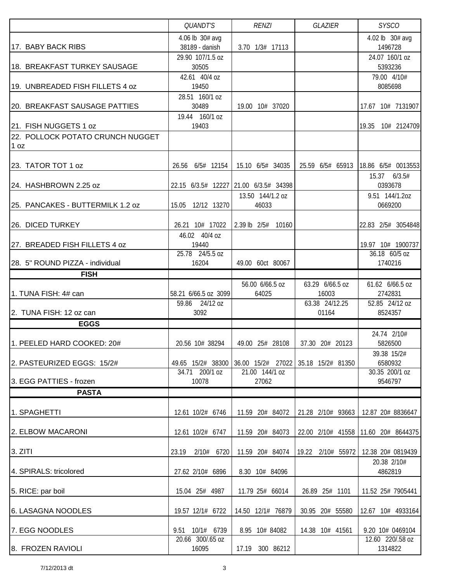|                                          | <b>QUANDT'S</b>           | <b>RENZI</b>                                          | <b>GLAZIER</b>    | <b>SYSCO</b>                |
|------------------------------------------|---------------------------|-------------------------------------------------------|-------------------|-----------------------------|
|                                          | 4.06 lb 30# avg           |                                                       |                   | 4.02 lb 30# avg             |
| 17. BABY BACK RIBS                       | 38189 - danish            | 3.70 1/3# 17113                                       |                   | 1496728                     |
|                                          | 29.90 107/1.5 oz          |                                                       |                   | 24.07 160/1 oz              |
| 18. BREAKFAST TURKEY SAUSAGE             | 30505                     |                                                       |                   | 5393236                     |
|                                          | 42.61 40/4 oz             |                                                       |                   | 79.00 4/10#                 |
| 19. UNBREADED FISH FILLETS 4 oz          | 19450                     |                                                       |                   | 8085698                     |
|                                          | 28.51 160/1 oz            |                                                       |                   |                             |
| 20. BREAKFAST SAUSAGE PATTIES            | 30489                     | 19.00 10# 37020                                       |                   | 17.67 10# 7131907           |
|                                          | 19.44 160/1 oz            |                                                       |                   |                             |
| 21. FISH NUGGETS 1 oz                    | 19403                     |                                                       |                   | 10# 2124709<br>19.35        |
| 22. POLLOCK POTATO CRUNCH NUGGET<br>1 oz |                           |                                                       |                   |                             |
|                                          |                           |                                                       |                   |                             |
| 23. TATOR TOT 1 oz                       | 26.56 6/5# 12154          | 15.10 6/5# 34035                                      | 25.59 6/5# 65913  | 18.86 6/5# 0013553          |
|                                          |                           |                                                       |                   | 15.37 6/3.5#                |
| 24. HASHBROWN 2.25 oz                    |                           | 22.15 6/3.5# 12227 21.00 6/3.5# 34398                 |                   | 0393678                     |
|                                          |                           | 13.50 144/1.2 oz                                      |                   | 9.51 144/1.2oz              |
| 25. PANCAKES - BUTTERMILK 1.2 oz         | 15.05 12/12 13270         | 46033                                                 |                   | 0669200                     |
|                                          |                           |                                                       |                   |                             |
| 26. DICED TURKEY                         | 26.21 10# 17022           | 2.39 lb 2/5# 10160                                    |                   | 22.83 2/5# 3054848          |
|                                          | 46.02 40/4 oz             |                                                       |                   |                             |
| 27. BREADED FISH FILLETS 4 oz            | 19440                     |                                                       |                   | 19.97 10# 1900737           |
|                                          | 25.78 24/5.5 oz           |                                                       |                   | 36.18 60/5 oz               |
| 28. 5" ROUND PIZZA - individual          | 16204                     | 49.00 60ct 80067                                      |                   | 1740216                     |
| <b>FISH</b>                              |                           |                                                       |                   |                             |
|                                          |                           | 56.00 6/66.5 oz                                       | 63.29 6/66.5 oz   | 61.62 6/66.5 oz             |
| 1. TUNA FISH: 4# can                     | 58.21 6/66.5 oz 3099      | 64025                                                 | 16003             | 2742831                     |
|                                          | 59.86 24/12 oz            |                                                       | 63.38 24/12.25    | 52.85 24/12 oz              |
| 2. TUNA FISH: 12 oz can                  | 3092                      |                                                       | 01164             | 8524357                     |
| <b>EGGS</b>                              |                           |                                                       |                   |                             |
|                                          |                           |                                                       |                   | 24.74 2/10#                 |
| 1. PEELED HARD COOKED: 20#               | 20.56 10# 38294           | 49.00 25# 28108                                       | 37.30 20# 20123   | 5826500                     |
|                                          |                           |                                                       |                   | 39.38 15/2#                 |
| 2. PASTEURIZED EGGS: 15/2#               |                           | 49.65 15/2# 38300 36.00 15/2# 27022 35.18 15/2# 81350 |                   | 6580932                     |
|                                          | 34.71 200/1 oz            | 21.00 144/1 oz                                        |                   | 30.35 200/1 oz              |
| 3. EGG PATTIES - frozen                  | 10078                     | 27062                                                 |                   | 9546797                     |
| <b>PASTA</b>                             |                           |                                                       |                   |                             |
|                                          |                           |                                                       |                   |                             |
| 1. SPAGHETTI                             | 12.61 10/2# 6746          | 11.59 20# 84072                                       | 21.28 2/10# 93663 | 12.87 20# 8836647           |
|                                          |                           |                                                       |                   |                             |
| 2. ELBOW MACARONI                        | 12.61 10/2# 6747          | 11.59 20# 84073                                       | 22.00 2/10# 41558 | 11.60 20# 8644375           |
|                                          |                           |                                                       |                   |                             |
| 3. ZITI                                  | 23.19<br>2/10# 6720       | 11.59 20# 84074                                       | 19.22 2/10# 55972 | 12.38 20# 0819439           |
|                                          |                           |                                                       |                   | 20.38 2/10#                 |
| 4. SPIRALS: tricolored                   | 27.62 2/10# 6896          | 8.30 10# 84096                                        |                   | 4862819                     |
|                                          |                           |                                                       |                   |                             |
| 5. RICE: par boil                        | 15.04 25# 4987            | 11.79 25# 66014                                       | 26.89 25# 1101    | 11.52 25# 7905441           |
|                                          |                           |                                                       |                   |                             |
| 6. LASAGNA NOODLES                       | 19.57 12/1# 6722          | 14.50 12/1# 76879                                     | 30.95 20# 55580   | 12.67 10# 4933164           |
|                                          |                           |                                                       |                   |                             |
| 7. EGG NOODLES                           | 9.51 10/1# 6739           | 8.95 10# 84082                                        | 14.38 10# 41561   | 9.20 10# 0469104            |
|                                          |                           |                                                       |                   |                             |
| 8. FROZEN RAVIOLI                        | 20.66 300/.65 oz<br>16095 | 17.19 300 86212                                       |                   | 12.60 220/.58 oz<br>1314822 |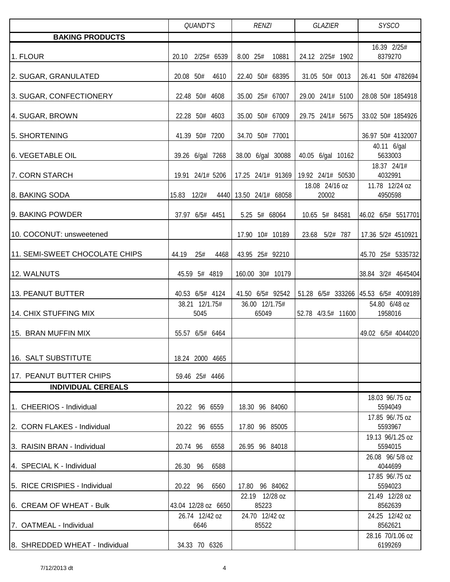|                                | <b>QUANDT'S</b>        | <b>RENZI</b>            | <b>GLAZIER</b>          | <b>SYSCO</b>                         |
|--------------------------------|------------------------|-------------------------|-------------------------|--------------------------------------|
| <b>BAKING PRODUCTS</b>         |                        |                         |                         |                                      |
| 1. FLOUR                       | 20.10 2/25# 6539       | 8.00 25#<br>10881       | 24.12 2/25# 1902        | 16.39 2/25#<br>8379270               |
| 2. SUGAR, GRANULATED           | 20.08 50#<br>4610      | 22.40 50# 68395         | 31.05 50# 0013          | 26.41 50# 4782694                    |
| 3. SUGAR, CONFECTIONERY        | 22.48 50# 4608         | 35.00 25# 67007         | 29.00 24/1# 5100        | 28.08 50# 1854918                    |
| 4. SUGAR, BROWN                | 22.28 50# 4603         | 35.00 50# 67009         | 29.75 24/1# 5675        | 33.02 50# 1854926                    |
| 5. SHORTENING                  | 41.39 50# 7200         | 34.70 50# 77001         |                         | 36.97 50# 4132007                    |
| <b>6. VEGETABLE OIL</b>        | 39.26 6/gal 7268       | 38.00 6/gal 30088       | 40.05 6/gal 10162       | 40.11 6/gal<br>5633003               |
| 7. CORN STARCH                 | 19.91 24/1# 5206       | 17.25 24/1# 91369       | 19.92 24/1# 50530       | 18.37 24/1#<br>4032991               |
| 8. BAKING SODA                 | 15.83 12/2#<br>4440    | 13.50 24/1# 68058       | 18.08 24/16 oz<br>20002 | 11.78 12/24 oz<br>4950598            |
| 9. BAKING POWDER               | 37.97 6/5# 4451        | 5.25 5# 68064           | 10.65 5# 84581          | 46.02 6/5# 5517701                   |
| 10. COCONUT: unsweetened       |                        | 17.90 10# 10189         | 23.68 5/2# 787          | 17.36 5/2# 4510921                   |
| 11. SEMI-SWEET CHOCOLATE CHIPS | 25#<br>44.19<br>4468   | 43.95 25# 92210         |                         | 45.70 25# 5335732                    |
| 12. WALNUTS                    | 45.59 5# 4819          | 160.00 30# 10179        |                         | 38.84 3/2# 4645404                   |
| 13. PEANUT BUTTER              | 40.53 6/5# 4124        | 41.50 6/5# 92542        |                         | 51.28 6/5# 333266 45.53 6/5# 4009189 |
| 14. CHIX STUFFING MIX          | 38.21 12/1.75#<br>5045 | 36.00 12/1.75#<br>65049 | 52.78 4/3.5# 11600      | 54.80 6/48 oz<br>1958016             |
| 15. BRAN MUFFIN MIX            | 55.57 6/5# 6464        |                         |                         | 49.02 6/5# 4044020                   |
| 16. SALT SUBSTITUTE            | 18.24 2000 4665        |                         |                         |                                      |
| 17. PEANUT BUTTER CHIPS        | 59.46 25# 4466         |                         |                         |                                      |
| <b>INDIVIDUAL CEREALS</b>      |                        |                         |                         | 18.03 96/.75 oz                      |
| 1. CHEERIOS - Individual       | 20.22 96 6559          | 18.30 96 84060          |                         | 5594049                              |
| 2. CORN FLAKES - Individual    | 20.22 96 6555          | 17.80 96 85005          |                         | 17.85 96/.75 oz<br>5593967           |
| 3. RAISIN BRAN - Individual    | 20.74 96<br>6558       | 26.95 96 84018          |                         | 19.13 96/1.25 oz<br>5594015          |
| 4. SPECIAL K - Individual      | 26.30 96<br>6588       |                         |                         | 26.08 96/5/8 oz<br>4044699           |
| 5. RICE CRISPIES - Individual  | 20.22 96<br>6560       | 17.80 96 84062          |                         | 17.85 96/.75 oz<br>5594023           |
| 6.  CREAM OF WHEAT - Bulk      | 43.04 12/28 oz 6650    | 22.19 12/28 oz<br>85223 |                         | 21.49 12/28 oz<br>8562639            |
| 7. OATMEAL - Individual        | 26.74 12/42 oz<br>6646 | 24.70 12/42 oz<br>85522 |                         | 24.25 12/42 oz<br>8562621            |
| 8. SHREDDED WHEAT - Individual | 34.33 70 6326          |                         |                         | 28.16 70/1.06 oz<br>6199269          |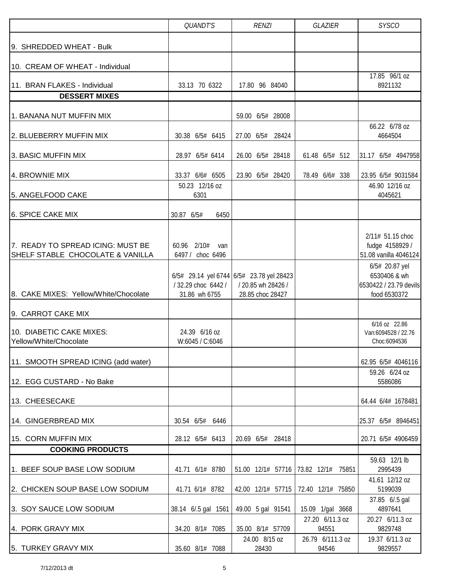|                                                                       | QUANDT'S                                  | <b>RENZI</b>                                                                          | <b>SYSCO</b>              |                                                                          |  |
|-----------------------------------------------------------------------|-------------------------------------------|---------------------------------------------------------------------------------------|---------------------------|--------------------------------------------------------------------------|--|
| 9. SHREDDED WHEAT - Bulk                                              |                                           |                                                                                       |                           |                                                                          |  |
| 10. CREAM OF WHEAT - Individual                                       |                                           |                                                                                       |                           |                                                                          |  |
| 11. BRAN FLAKES - Individual                                          | 33.13 70 6322                             | 17.80 96 84040                                                                        |                           | 17.85 96/1 oz<br>8921132                                                 |  |
| <b>DESSERT MIXES</b>                                                  |                                           |                                                                                       |                           |                                                                          |  |
| 1. BANANA NUT MUFFIN MIX                                              |                                           | 59.00 6/5# 28008                                                                      |                           |                                                                          |  |
| 2. BLUEBERRY MUFFIN MIX                                               | 30.38 6/5# 6415                           | 27.00 6/5#<br>28424                                                                   |                           | 66.22 6/78 oz<br>4664504                                                 |  |
| 3. BASIC MUFFIN MIX                                                   | 28.97 6/5# 6414                           | 26.00 6/5# 28418                                                                      | 61.48 6/5# 512            | 31.17 6/5# 4947958                                                       |  |
| 4. BROWNIE MIX                                                        | 33.37 6/6# 6505                           | 23.90 6/5# 28420                                                                      | 78.49 6/6# 338            | 23.95 6/5# 9031584                                                       |  |
| 5. ANGELFOOD CAKE                                                     | 50.23 12/16 oz<br>6301                    |                                                                                       |                           | 46.90 12/16 oz<br>4045621                                                |  |
| 6. SPICE CAKE MIX                                                     | 30.87 6/5#<br>6450                        |                                                                                       |                           |                                                                          |  |
| 7. READY TO SPREAD ICING: MUST BE<br>SHELF STABLE CHOCOLATE & VANILLA | 2/10#<br>60.96<br>van<br>6497 / choc 6496 |                                                                                       |                           | 2/11# 51.15 choc<br>fudge 4158929 /<br>51.08 vanilla 4046124             |  |
| 8. CAKE MIXES: Yellow/White/Chocolate                                 | / 32.29 choc 6442 /<br>31.86 wh 6755      | $6/5$ # 29.14 yel 6744 6/5# 23.78 yel 28423<br>/ 20.85 wh 28426 /<br>28.85 choc 28427 |                           | 6/5# 20.87 yel<br>6530406 & wh<br>6530422 / 23.79 devils<br>food 6530372 |  |
| 9. CARROT CAKE MIX                                                    |                                           |                                                                                       |                           |                                                                          |  |
| 10. DIABETIC CAKE MIXES:<br>Yellow/White/Chocolate                    | 24.39 6/16 oz<br>W:6045 / C:6046          |                                                                                       |                           | 6/16 oz 22.86<br>Van:6094528 / 22.76<br>Choc:6094536                     |  |
| 11. SMOOTH SPREAD ICING (add water)                                   |                                           |                                                                                       |                           | 62.95 6/5# 4046116                                                       |  |
| 12. EGG CUSTARD - No Bake                                             |                                           |                                                                                       |                           | 59.26 6/24 oz<br>5586086                                                 |  |
| 13. CHEESECAKE                                                        |                                           |                                                                                       |                           | 64.44 6/4# 1678481                                                       |  |
| 14. GINGERBREAD MIX                                                   | 30.54 6/5# 6446                           |                                                                                       |                           | 25.37 6/5# 8946451                                                       |  |
| 15. CORN MUFFIN MIX                                                   | 28.12 6/5# 6413                           | 20.69 6/5# 28418                                                                      |                           | 20.71 6/5# 4906459                                                       |  |
| <b>COOKING PRODUCTS</b>                                               |                                           |                                                                                       |                           |                                                                          |  |
| 1. BEEF SOUP BASE LOW SODIUM                                          | 41.71 6/1# 8780                           | 51.00 12/1# 57716 73.82 12/1#                                                         | 75851                     | 59.63 12/1 lb<br>2995439                                                 |  |
| 2. CHICKEN SOUP BASE LOW SODIUM                                       | 41.71 6/1# 8782                           | 42.00 12/1# 57715                                                                     | 72.40 12/1# 75850         | 41.61 12/12 oz<br>5199039                                                |  |
| 3. SOY SAUCE LOW SODIUM                                               | 38.14 6/.5 gal 1561                       | 49.00 5 gal 91541                                                                     | 15.09 1/gal 3668          | 37.85 6/.5 gal<br>4897641                                                |  |
| 4. PORK GRAVY MIX                                                     | 34.20 8/1# 7085                           | 35.00 8/1# 57709                                                                      | 27.20 6/11.3 oz<br>94551  | 20.27 6/11.3 oz<br>9829748                                               |  |
| 5. TURKEY GRAVY MIX                                                   | 35.60 8/1# 7088                           | 24.00 8/15 oz<br>28430                                                                | 26.79 6/111.3 oz<br>94546 | 19.37 6/11.3 oz<br>9829557                                               |  |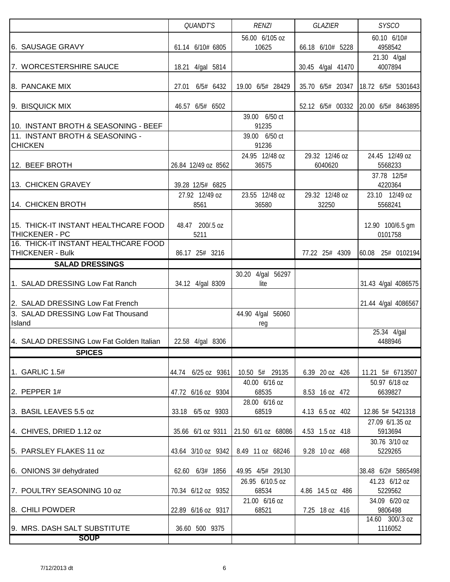|                                                               | <b>QUANDT'S</b>         | <b>RENZI</b>                    | <b>GLAZIER</b>    | <b>SYSCO</b>                      |
|---------------------------------------------------------------|-------------------------|---------------------------------|-------------------|-----------------------------------|
|                                                               |                         | 56.00 6/105 oz                  |                   | 60.10 6/10#                       |
| 6. SAUSAGE GRAVY                                              | 61.14 6/10# 6805        | 10625                           | 66.18 6/10# 5228  | 4958542<br>21.30 4/gal            |
| 7. WORCESTERSHIRE SAUCE                                       | 18.21 4/gal 5814        |                                 | 30.45 4/gal 41470 | 4007894                           |
|                                                               |                         |                                 |                   |                                   |
| 8. PANCAKE MIX                                                | 6/5# 6432<br>27.01      | 19.00 6/5# 28429                | 35.70 6/5# 20347  | 18.72 6/5# 5301643                |
| 9. BISQUICK MIX                                               | 46.57 6/5# 6502         |                                 | 52.12 6/5# 00332  | 20.00 6/5# 8463895                |
|                                                               |                         | 39.00 6/50 ct                   |                   |                                   |
| 10. INSTANT BROTH & SEASONING - BEEF                          |                         | 91235                           |                   |                                   |
| 11. INSTANT BROTH & SEASONING -<br><b>CHICKEN</b>             |                         | 39.00 6/50 ct<br>91236          |                   |                                   |
|                                                               |                         | 24.95 12/48 oz                  | 29.32 12/46 oz    | 24.45 12/49 oz                    |
| 12. BEEF BROTH                                                | 26.84 12/49 oz 8562     | 36575                           | 6040620           | 5568233                           |
| 13. CHICKEN GRAVEY                                            | 39.28 12/5# 6825        |                                 |                   | 37.78 12/5#<br>4220364            |
|                                                               | 27.92 12/49 oz          | 23.55 12/48 oz                  | 29.32 12/48 oz    | 23.10 12/49 oz                    |
| 14. CHICKEN BROTH                                             | 8561                    | 36580                           | 32250             | 5568241                           |
|                                                               |                         |                                 |                   |                                   |
| 15. THICK-IT INSTANT HEALTHCARE FOOD<br><b>THICKENER - PC</b> | 48.47 200/.5 oz<br>5211 |                                 |                   | 12.90 100/6.5 gm<br>0101758       |
| 16. THICK-IT INSTANT HEALTHCARE FOOD                          |                         |                                 |                   |                                   |
| <b>THICKENER - Bulk</b>                                       | 86.17 25# 3216          |                                 | 77.22 25# 4309    | 60.08 25# 0102194                 |
| <b>SALAD DRESSINGS</b>                                        |                         |                                 |                   |                                   |
| 1. SALAD DRESSING Low Fat Ranch                               | 34.12 4/gal 8309        | 30.20 4/gal 56297<br>lite       |                   | 31.43 4/gal 4086575               |
| 2. SALAD DRESSING Low Fat French                              |                         |                                 |                   | 21.44 4/gal 4086567               |
| 3. SALAD DRESSING Low Fat Thousand                            |                         | 44.90 4/gal 56060               |                   |                                   |
| Island                                                        |                         | reg                             |                   | 25.34 4/gal                       |
| 4. SALAD DRESSING Low Fat Golden Italian                      | 22.58 4/gal 8306        |                                 |                   | 4488946                           |
| <b>SPICES</b>                                                 |                         |                                 |                   |                                   |
|                                                               |                         |                                 |                   |                                   |
| 1. GARLIC 1.5#                                                | 44.74 6/25 oz 9361      | 10.50 5# 29135<br>40.00 6/16 oz | 6.39 20 oz 426    | 11.21 5# 6713507<br>50.97 6/18 oz |
| 2. PEPPER $1#$                                                | 47.72 6/16 oz 9304      | 68535                           | 8.53 16 oz 472    | 6639827                           |
|                                                               |                         | 28.00 6/16 oz                   |                   |                                   |
| 3. BASIL LEAVES 5.5 oz                                        | 33.18 6/5 oz 9303       | 68519                           | 4.13 6.5 oz 402   | 12.86 5# 5421318                  |
| 4. CHIVES, DRIED 1.12 oz                                      | 35.66 6/1 oz 9311       | 21.50 6/1 oz 68086              | 4.53 1.5 oz 418   | 27.09 6/1.35 oz<br>5913694        |
|                                                               |                         |                                 |                   | 30.76 3/10 oz                     |
| 5. PARSLEY FLAKES 11 oz                                       | 43.64 3/10 oz 9342      | 8.49 11 oz 68246                | 9.28 10 oz 468    | 5229265                           |
| 6. ONIONS 3# dehydrated                                       | 62.60 6/3# 1856         | 49.95 4/5# 29130                |                   | 38.48 6/2# 5865498                |
|                                                               |                         | 26.95 6/10.5 oz                 |                   | 41.23 6/12 oz                     |
| 7. POULTRY SEASONING 10 oz                                    | 70.34 6/12 oz 9352      | 68534                           | 4.86 14.5 oz 486  | 5229562                           |
| 8. CHILI POWDER                                               | 22.89 6/16 oz 9317      | 21.00 6/16 oz<br>68521          | 7.25 18 oz 416    | 34.09 6/20 oz<br>9806498          |
|                                                               |                         |                                 |                   | 14.60 300/.3 oz                   |
| 9. MRS. DASH SALT SUBSTITUTE<br><b>SOUP</b>                   | 36.60 500 9375          |                                 |                   | 1116052                           |
|                                                               |                         |                                 |                   |                                   |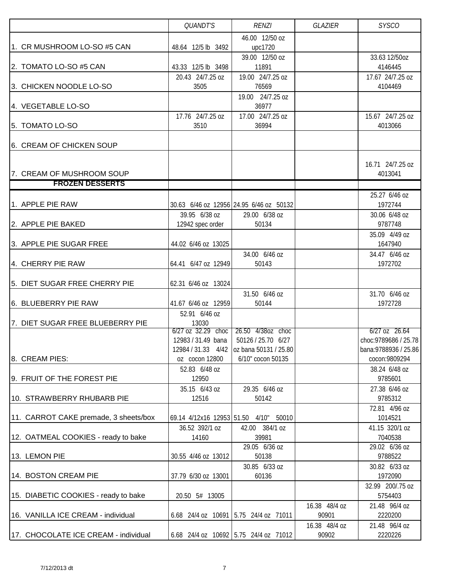|                                       | QUANDT'S                  | <b>RENZI</b>                                                    | <b>GLAZIER</b> | <b>SYSCO</b>                                   |
|---------------------------------------|---------------------------|-----------------------------------------------------------------|----------------|------------------------------------------------|
|                                       |                           | 46.00 12/50 oz                                                  |                |                                                |
| 1. CR MUSHROOM LO-SO #5 CAN           | 48.64 12/5 lb 3492        | upc1720                                                         |                |                                                |
|                                       |                           | 39.00 12/50 oz                                                  |                | 33.63 12/50oz                                  |
| 2. TOMATO LO-SO #5 CAN                | 43.33 12/5 lb 3498        | 11891                                                           |                | 4146445                                        |
|                                       | 20.43 24/7.25 oz          | 19.00 24/7.25 oz                                                |                | 17.67 24/7.25 oz                               |
| 3. CHICKEN NOODLE LO-SO               | 3505                      | 76569                                                           |                | 4104469                                        |
|                                       |                           | 19.00 24/7.25 oz                                                |                |                                                |
| 4. VEGETABLE LO-SO                    |                           | 36977                                                           |                |                                                |
|                                       | 17.76 24/7.25 oz          | 17.00 24/7.25 oz                                                |                | 15.67 24/7.25 oz                               |
| 5. TOMATO LO-SO                       | 3510                      | 36994                                                           |                | 4013066                                        |
| 6. CREAM OF CHICKEN SOUP              |                           |                                                                 |                |                                                |
|                                       |                           |                                                                 |                |                                                |
|                                       |                           |                                                                 |                | 16.71 24/7.25 oz                               |
| 7. CREAM OF MUSHROOM SOUP             |                           |                                                                 |                | 4013041                                        |
| <b>FROZEN DESSERTS</b>                |                           |                                                                 |                |                                                |
|                                       |                           |                                                                 |                | 25.27 6/46 oz                                  |
| 1. APPLE PIE RAW                      |                           | 30.63 6/46 oz 12956 24.95 6/46 oz 50132                         |                | 1972744                                        |
|                                       | 39.95 6/38 oz             | 29.00 6/38 oz                                                   |                | 30.06 6/48 oz                                  |
| 2. APPLE PIE BAKED                    | 12942 spec order          | 50134                                                           |                | 9787748                                        |
|                                       |                           |                                                                 |                | 35.09 4/49 oz                                  |
| 3. APPLE PIE SUGAR FREE               | 44.02 6/46 oz 13025       |                                                                 |                | 1647940                                        |
|                                       |                           | 34.00 6/46 oz                                                   |                | 34.47 6/46 oz                                  |
| 4. CHERRY PIE RAW                     | 64.41 6/47 oz 12949       | 50143                                                           |                | 1972702                                        |
|                                       |                           |                                                                 |                |                                                |
| 5. DIET SUGAR FREE CHERRY PIE         | 62.31 6/46 oz 13024       |                                                                 |                |                                                |
|                                       |                           | 31.50 6/46 oz                                                   |                | 31.70 6/46 oz                                  |
| 6. BLUEBERRY PIE RAW                  | 41.67 6/46 oz 12959       | 50144                                                           |                | 1972728                                        |
|                                       | 52.91 6/46 oz             |                                                                 |                |                                                |
| 7. DIET SUGAR FREE BLUEBERRY PIE      | 13030                     |                                                                 |                |                                                |
|                                       | $6/27$ oz $32.29$ choc    | 26.50 4/38oz choc                                               |                | $6/27$ oz $26.64$                              |
|                                       | 12983/31.49 bana          | 50126 / 25.70 6/27                                              |                | choc: 9789686 / 25.78<br>bana: 9788936 / 25.86 |
| 8. CREAM PIES:                        | oz cocon 12800            | 12984 / 31.33 4/42   oz bana 50131 / 25.80<br>6/10" cocon 50135 |                | cocon:9809294                                  |
|                                       | 52.83 6/48 oz             |                                                                 |                | 38.24 6/48 oz                                  |
| 9. FRUIT OF THE FOREST PIE            | 12950                     |                                                                 |                | 9785601                                        |
|                                       | 35.15 6/43 oz             | 29.35 6/46 oz                                                   |                | 27.38 6/46 oz                                  |
| 10. STRAWBERRY RHUBARB PIE            | 12516                     | 50142                                                           |                | 9785312                                        |
|                                       |                           |                                                                 |                | 72.81 4/96 oz                                  |
| 11. CARROT CAKE premade, 3 sheets/box | 69.14 4/12x16 12953 51.50 | 4/10"<br>50010                                                  |                | 1014521                                        |
|                                       | 36.52 392/1 oz            | 42.00 384/1 oz                                                  |                | 41.15 320/1 oz                                 |
| 12. OATMEAL COOKIES - ready to bake   | 14160                     | 39981                                                           |                | 7040538                                        |
|                                       |                           | 29.05 6/36 oz                                                   |                | 29.02 6/36 oz                                  |
| 13. LEMON PIE                         | 30.55 4/46 oz 13012       | 50138                                                           |                | 9788522                                        |
|                                       |                           | 30.85 6/33 oz                                                   |                | 30.82 6/33 oz                                  |
| 14. BOSTON CREAM PIE                  | 37.79 6/30 oz 13001       | 60136                                                           |                | 1972090                                        |
|                                       |                           |                                                                 |                | 32.99 200/.75 oz                               |
| 15. DIABETIC COOKIES - ready to bake  | 20.50 5# 13005            |                                                                 |                | 5754403                                        |
|                                       |                           |                                                                 | 16.38 48/4 oz  | 21.48 96/4 oz                                  |
| 16. VANILLA ICE CREAM - individual    |                           | 6.68 24/4 oz 10691 5.75 24/4 oz 71011                           | 90901          | 2220200                                        |
|                                       |                           |                                                                 | 16.38 48/4 oz  | 21.48 96/4 oz                                  |
| 17. CHOCOLATE ICE CREAM - individual  |                           | 6.68 24/4 oz 10692 5.75 24/4 oz 71012                           | 90902          | 2220226                                        |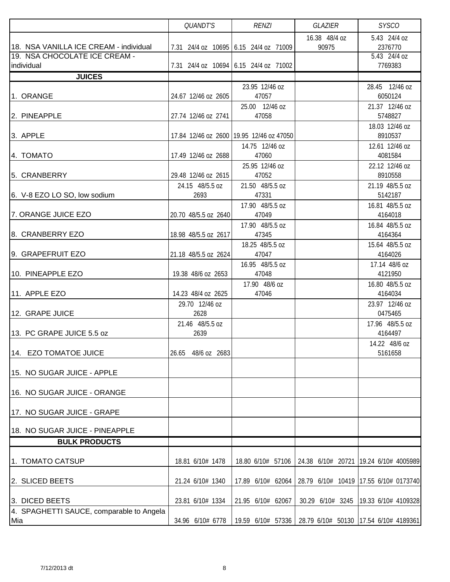|                                                                                       | <b>QUANDT'S</b>         | <b>RENZI</b>                                                                   | GLAZIER                | <b>SYSCO</b>                                                |
|---------------------------------------------------------------------------------------|-------------------------|--------------------------------------------------------------------------------|------------------------|-------------------------------------------------------------|
| 18. NSA VANILLA ICE CREAM - individual<br>19. NSA CHOCOLATE ICE CREAM -<br>individual |                         | 7.31 24/4 oz 10695 6.15 24/4 oz 71009<br>7.31 24/4 oz 10694 6.15 24/4 oz 71002 | 16.38 48/4 oz<br>90975 | 5.43 24/4 oz<br>2376770<br>5.43 24/4 oz<br>7769383          |
| <b>JUICES</b>                                                                         |                         |                                                                                |                        |                                                             |
| 1. ORANGE                                                                             | 24.67 12/46 oz 2605     | 23.95 12/46 oz<br>47057                                                        |                        | 28.45 12/46 oz<br>6050124                                   |
| 2. PINEAPPLE                                                                          | 27.74 12/46 oz 2741     | 25.00 12/46 oz<br>47058                                                        |                        | 21.37 12/46 oz<br>5748827                                   |
| 3. APPLE                                                                              |                         | 17.84 12/46 oz 2600 19.95 12/46 oz 47050                                       |                        | 18.03 12/46 oz<br>8910537                                   |
| 4. TOMATO                                                                             | 17.49 12/46 oz 2688     | 14.75 12/46 oz<br>47060                                                        |                        | 12.61 12/46 oz<br>4081584                                   |
| 5. CRANBERRY                                                                          | 29.48 12/46 oz 2615     | 25.95 12/46 oz<br>47052                                                        |                        | 22.12 12/46 oz<br>8910558                                   |
| 6. V-8 EZO LO SO, low sodium                                                          | 24.15 48/5.5 oz<br>2693 | 21.50 48/5.5 oz<br>47331                                                       |                        | 21.19 48/5.5 oz<br>5142187                                  |
| 7. ORANGE JUICE EZO                                                                   | 20.70 48/5.5 oz 2640    | 17.90 48/5.5 oz<br>47049                                                       |                        | 16.81 48/5.5 oz<br>4164018                                  |
| 8. CRANBERRY EZO                                                                      | 18.98 48/5.5 oz 2617    | 17.90 48/5.5 oz<br>47345                                                       |                        | 16.84 48/5.5 oz<br>4164364                                  |
| 9. GRAPEFRUIT EZO                                                                     | 21.18 48/5.5 oz 2624    | 18.25 48/5.5 oz<br>47047                                                       |                        | 15.64 48/5.5 oz<br>4164026                                  |
| 10. PINEAPPLE EZO                                                                     | 19.38 48/6 oz 2653      | 16.95 48/5.5 oz<br>47048                                                       |                        | 17.14 48/6 oz<br>4121950                                    |
| 11. APPLE EZO                                                                         | 14.23 48/4 oz 2625      | 17.90 48/6 oz<br>47046                                                         |                        | 16.80 48/5.5 oz<br>4164034                                  |
| 12. GRAPE JUICE                                                                       | 29.70 12/46 oz<br>2628  |                                                                                |                        | 23.97 12/46 oz<br>0475465                                   |
| 13. PC GRAPE JUICE 5.5 oz                                                             | 21.46 48/5.5 oz<br>2639 |                                                                                |                        | 17.96 48/5.5 oz<br>4164497                                  |
| 14. EZO TOMATOE JUICE                                                                 | 26.65 48/6 oz 2683      |                                                                                |                        | 14.22 48/6 oz<br>5161658                                    |
| 15. NO SUGAR JUICE - APPLE                                                            |                         |                                                                                |                        |                                                             |
| 16. NO SUGAR JUICE - ORANGE                                                           |                         |                                                                                |                        |                                                             |
| 17. NO SUGAR JUICE - GRAPE                                                            |                         |                                                                                |                        |                                                             |
| 18. NO SUGAR JUICE - PINEAPPLE<br><b>BULK PRODUCTS</b>                                |                         |                                                                                |                        |                                                             |
|                                                                                       |                         |                                                                                |                        |                                                             |
| 1. TOMATO CATSUP                                                                      | 18.81 6/10# 1478        | 18.80 6/10# 57106                                                              |                        | 24.38 6/10# 20721 19.24 6/10# 4005989                       |
| 2. SLICED BEETS                                                                       | 21.24 6/10# 1340        | 17.89 6/10# 62064                                                              |                        | 28.79 6/10# 10419 17.55 6/10# 0173740                       |
| 3. DICED BEETS                                                                        | 23.81 6/10# 1334        | 21.95 6/10# 62067                                                              | 30.29 6/10# 3245       | 19.33 6/10# 4109328                                         |
| 4. SPAGHETTI SAUCE, comparable to Angela<br>Mia                                       | 34.96 6/10# 6778        |                                                                                |                        | 19.59 6/10# 57336   28.79 6/10# 50130   17.54 6/10# 4189361 |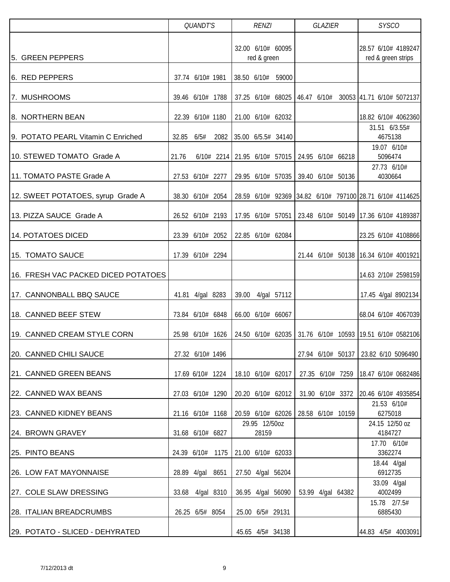|                                     | <b>QUANDT'S</b>       | <b>RENZI</b>                                     | GLAZIER                             | <b>SYSCO</b>                                                |
|-------------------------------------|-----------------------|--------------------------------------------------|-------------------------------------|-------------------------------------------------------------|
| 5. GREEN PEPPERS                    |                       | 32.00 6/10# 60095<br>red & green                 |                                     | 28.57 6/10# 4189247<br>red & green strips                   |
| 6. RED PEPPERS                      | 37.74 6/10# 1981      | 38.50 6/10# 59000                                |                                     |                                                             |
| 7. MUSHROOMS                        | 39.46 6/10# 1788      |                                                  |                                     | 37.25 6/10# 68025   46.47 6/10# 30053   41.71 6/10# 5072137 |
| 8. NORTHERN BEAN                    | 22.39 6/10# 1180      | 21.00 6/10# 62032                                |                                     | 18.82 6/10# 4062360                                         |
| 9. POTATO PEARL Vitamin C Enriched  | 32.85<br>6/5#<br>2082 | 35.00 6/5.5# 34140                               |                                     | 31.51 6/3.55#<br>4675138                                    |
| 10. STEWED TOMATO Grade A           | 21.76                 | $6/10#$ 2214 21.95 6/10# 57015 24.95 6/10# 66218 |                                     | 19.07 6/10#<br>5096474                                      |
| 11. TOMATO PASTE Grade A            | 27.53 6/10# 2277      |                                                  | 29.95 6/10# 57035 39.40 6/10# 50136 | 27.73 6/10#<br>4030664                                      |
| 12. SWEET POTATOES, syrup Grade A   | 38.30 6/10# 2054      |                                                  |                                     | 28.59 6/10# 92369 34.82 6/10# 797100 28.71 6/10# 4114625    |
| 13. PIZZA SAUCE Grade A             | 26.52 6/10# 2193      | 17.95 6/10# 57051                                |                                     | 23.48 6/10# 50149 17.36 6/10# 4189387                       |
| 14. POTATOES DICED                  | 23.39 6/10# 2052      | 22.85 6/10# 62084                                |                                     | 23.25 6/10# 4108866                                         |
| 15. TOMATO SAUCE                    | 17.39 6/10# 2294      |                                                  |                                     | 21.44 6/10# 50138 16.34 6/10# 4001921                       |
| 16. FRESH VAC PACKED DICED POTATOES |                       |                                                  |                                     | 14.63 2/10# 2598159                                         |
| 17. CANNONBALL BBQ SAUCE            | 41.81 4/gal 8283      | 39.00 4/gal 57112                                |                                     | 17.45 4/gal 8902134                                         |
| 18. CANNED BEEF STEW                | 73.84 6/10# 6848      | 66.00 6/10# 66067                                |                                     | 68.04 6/10# 4067039                                         |
| 19. CANNED CREAM STYLE CORN         | 25.98 6/10# 1626      | 24.50 6/10# 62035                                |                                     | 31.76 6/10# 10593 19.51 6/10# 0582106                       |
| 20. CANNED CHILI SAUCE              | 27.32 6/10# 1496      |                                                  |                                     | 27.94 6/10# 50137   23.82 6/10 5096490                      |
| 21. CANNED GREEN BEANS              | 17.69 6/10# 1224      | 18.10 6/10# 62017                                | 27.35 6/10# 7259                    | 18.47 6/10# 0682486                                         |
| 22. CANNED WAX BEANS                | 27.03 6/10# 1290      | 20.20 6/10# 62012                                |                                     | 31.90 6/10# 3372 20.46 6/10# 4935854                        |
| 23. CANNED KIDNEY BEANS             | 21.16 6/10# 1168      |                                                  | 20.59 6/10# 62026 28.58 6/10# 10159 | 21.53 6/10#<br>6275018                                      |
| 24. BROWN GRAVEY                    | 31.68 6/10# 6827      | 29.95 12/50oz<br>28159                           |                                     | 24.15 12/50 oz<br>4184727                                   |
| 25. PINTO BEANS                     | 24.39 6/10# 1175      | 21.00 6/10# 62033                                |                                     | 17.70 6/10#<br>3362274                                      |
| 26. LOW FAT MAYONNAISE              | 28.89 4/gal 8651      | 27.50 4/gal 56204                                |                                     | 18.44 4/gal<br>6912735                                      |
| 27. COLE SLAW DRESSING              | 33.68 4/gal 8310      | 36.95 4/gal 56090                                | 53.99 4/gal 64382                   | 33.09 4/gal<br>4002499                                      |
| 28. ITALIAN BREADCRUMBS             | 26.25 6/5# 8054       | 25.00 6/5# 29131                                 |                                     | 15.78 2/7.5#<br>6885430                                     |
| 29. POTATO - SLICED - DEHYRATED     |                       | 45.65 4/5# 34138                                 |                                     | 44.83 4/5# 4003091                                          |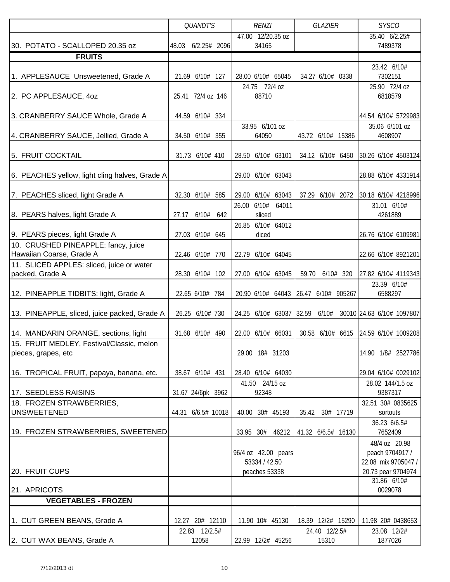|                                                                       |                    | <b>QUANDT'S</b>        |     |       | <b>RENZI</b>                   |                                      | <b>GLAZIER</b> |                        |                    | <b>SYSCO</b>                                                                                   |  |
|-----------------------------------------------------------------------|--------------------|------------------------|-----|-------|--------------------------------|--------------------------------------|----------------|------------------------|--------------------|------------------------------------------------------------------------------------------------|--|
|                                                                       |                    |                        |     |       |                                | 47.00 12/20.35 oz                    |                |                        | 35.40 6/2.25#      |                                                                                                |  |
| 30. POTATO - SCALLOPED 20.35 oz                                       | 48.03 6/2.25# 2096 |                        |     |       | 34165                          |                                      |                |                        |                    | 7489378                                                                                        |  |
| <b>FRUITS</b>                                                         |                    |                        |     |       |                                |                                      |                |                        |                    |                                                                                                |  |
| 1. APPLESAUCE Unsweetened, Grade A                                    |                    | 21.69 6/10# 127        |     |       |                                | 28.00 6/10# 65045                    |                | 34.27 6/10# 0338       |                    | 23.42 6/10#<br>7302151                                                                         |  |
| 2. PC APPLESAUCE, 40Z                                                 |                    | 25.41 72/4 oz 146      |     |       | 24.75 72/4 oz<br>88710         |                                      |                |                        |                    | 25.90 72/4 oz<br>6818579                                                                       |  |
| 3. CRANBERRY SAUCE Whole, Grade A                                     |                    | 44.59 6/10# 334        |     |       |                                |                                      |                |                        |                    | 44.54 6/10# 5729983                                                                            |  |
| 4. CRANBERRY SAUCE, Jellied, Grade A                                  |                    | 34.50 6/10# 355        |     |       | 33.95 6/101 oz<br>64050        |                                      |                |                        | 43.72 6/10# 15386  | 35.06 6/101 oz<br>4608907                                                                      |  |
| 5. FRUIT COCKTAIL                                                     |                    | 31.73 6/10# 410        |     |       |                                | 28.50 6/10# 63101                    |                | 34.12 6/10# 6450       |                    | 30.26 6/10# 4503124                                                                            |  |
| 6. PEACHES yellow, light cling halves, Grade A                        |                    |                        |     |       |                                | 29.00 6/10# 63043                    |                |                        |                    | 28.88 6/10# 4331914                                                                            |  |
| 7. PEACHES sliced, light Grade A                                      |                    | 32.30 6/10# 585        |     | 29.00 |                                | 6/10# 63043                          |                | 37.29 6/10# 2072       |                    | 30.18 6/10# 4218996                                                                            |  |
| 8. PEARS halves, light Grade A                                        | 27.17              | 6/10#                  | 642 | 26.00 | 6/10#<br>sliced                | 64011                                |                |                        |                    | 31.01 6/10#<br>4261889                                                                         |  |
| 9. PEARS pieces, light Grade A<br>10. CRUSHED PINEAPPLE: fancy, juice |                    | 27.03 6/10# 645        |     |       | diced                          | 26.85 6/10# 64012                    |                |                        |                    | 26.76 6/10# 6109981                                                                            |  |
| Hawaiian Coarse, Grade A                                              |                    | 22.46 6/10# 770        |     |       |                                | 22.79 6/10# 64045                    |                |                        |                    | 22.66 6/10# 8921201                                                                            |  |
| 11. SLICED APPLES: sliced, juice or water                             |                    |                        |     |       |                                |                                      |                |                        |                    |                                                                                                |  |
| packed, Grade A                                                       |                    | 28.30 6/10# 102        |     |       |                                | 27.00 6/10# 63045                    | 59.70          |                        | 6/10# 320          | 27.82 6/10# 4119343                                                                            |  |
| 12. PINEAPPLE TIDBITS: light, Grade A                                 |                    | 22.65 6/10# 784        |     |       |                                | 20.90 6/10# 64043 26.47 6/10# 905267 |                |                        |                    | 23.39 6/10#<br>6588297                                                                         |  |
| 13. PINEAPPLE, sliced, juice packed, Grade A                          |                    | 26.25 6/10# 730        |     |       |                                | 24.25 6/10# 63037 32.59              |                | 6/10#                  |                    | 30010 24.63 6/10# 1097807                                                                      |  |
| 14. MANDARIN ORANGE, sections, light                                  |                    | 31.68 6/10# 490        |     |       |                                | 22.00 6/10# 66031                    |                | 30.58 6/10# 6615       |                    | 24.59 6/10# 1009208                                                                            |  |
| 15. FRUIT MEDLEY, Festival/Classic, melon                             |                    |                        |     |       |                                |                                      |                |                        |                    |                                                                                                |  |
| pieces, grapes, etc                                                   |                    |                        |     |       |                                | 29.00 18# 31203                      |                |                        |                    | 14.90 1/8# 2527786                                                                             |  |
| 16. TROPICAL FRUIT, papaya, banana, etc.                              |                    | 38.67 6/10# 431        |     |       |                                | 28.40 6/10# 64030                    |                |                        |                    | 29.04 6/10# 0029102                                                                            |  |
| 17. SEEDLESS RAISINS                                                  |                    | 31.67 24/6pk 3962      |     |       | 41.50 24/15 oz<br>92348        |                                      |                |                        |                    | 28.02 144/1.5 oz<br>9387317                                                                    |  |
| 18. FROZEN STRAWBERRIES,                                              |                    |                        |     |       |                                |                                      |                |                        |                    | 32.51 30# 0835625                                                                              |  |
| <b>UNSWEETENED</b>                                                    |                    | 44.31 6/6.5# 10018     |     |       |                                | 40.00 30# 45193                      | 35.42          |                        | 30# 17719          | sortouts                                                                                       |  |
| 19. FROZEN STRAWBERRIES, SWEETENED                                    |                    |                        |     |       |                                | 33.95 30# 46212                      |                |                        | 41.32 6/6.5# 16130 | 36.23 6/6.5#<br>7652409                                                                        |  |
| 20. FRUIT CUPS                                                        |                    |                        |     |       | 53334 / 42.50<br>peaches 53338 | 96/4 oz 42.00 pears                  |                |                        |                    | 48/4 oz 20.98<br>peach 9704917 /<br>22.08 mix 9705047 /<br>20.73 pear 9704974<br>$31.86$ 6/10# |  |
| 21. APRICOTS                                                          |                    |                        |     |       |                                |                                      |                |                        |                    | 0029078                                                                                        |  |
| <b>VEGETABLES - FROZEN</b>                                            |                    |                        |     |       |                                |                                      |                |                        |                    |                                                                                                |  |
| 1. CUT GREEN BEANS, Grade A                                           |                    | 12.27 20# 12110        |     |       |                                | 11.90 10# 45130                      |                | 18.39 12/2# 15290      |                    | 11.98 20# 0438653                                                                              |  |
| 2. CUT WAX BEANS, Grade A                                             |                    | 22.83 12/2.5#<br>12058 |     |       |                                | 22.99 12/2# 45256                    |                | 24.40 12/2.5#<br>15310 |                    | 23.08 12/2#<br>1877026                                                                         |  |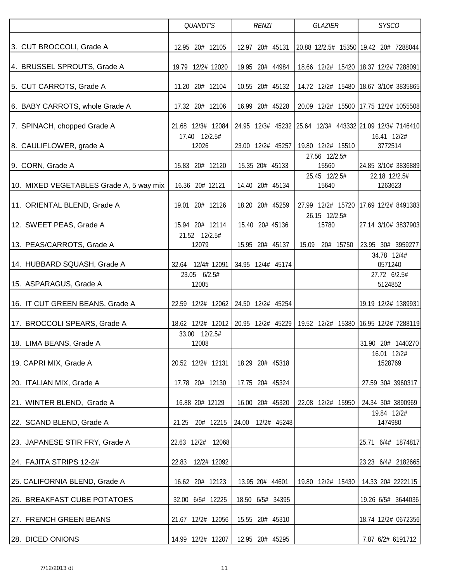|                                         |             | <b>QUANDT'S</b>        | <b>RENZI</b> |  | GLAZIER           |  | <b>SYSCO</b>           |                   |  |                          |                                                             |
|-----------------------------------------|-------------|------------------------|--------------|--|-------------------|--|------------------------|-------------------|--|--------------------------|-------------------------------------------------------------|
| 3. CUT BROCCOLI, Grade A                |             | 12.95 20# 12105        |              |  | 12.97 20# 45131   |  |                        |                   |  |                          | 20.88 12/2.5# 15350 19.42 20# 7288044                       |
| 4. BRUSSEL SPROUTS, Grade A             |             | 19.79 12/2# 12020      |              |  | 19.95 20# 44984   |  |                        |                   |  |                          | 18.66 12/2# 15420 18.37 12/2# 7288091                       |
| 5. CUT CARROTS, Grade A                 |             | 11.20 20# 12104        |              |  | 10.55 20# 45132   |  |                        |                   |  |                          | 14.72 12/2# 15480 18.67 3/10# 3835865                       |
| 6. BABY CARROTS, whole Grade A          |             | 17.32 20# 12106        |              |  | 16.99 20# 45228   |  |                        |                   |  |                          | 20.09 12/2# 15500 17.75 12/2# 1055508                       |
| 7. SPINACH, chopped Grade A             |             | 21.68 12/3# 12084      |              |  |                   |  |                        |                   |  |                          | 24.95 12/3# 45232 25.64 12/3# 443332 21.09 12/3# 7146410    |
| 8. CAULIFLOWER, grade A                 |             | 17.40 12/2.5#<br>12026 |              |  | 23.00 12/2# 45257 |  |                        | 19.80 12/2# 15510 |  | 16.41 12/2#<br>3772514   |                                                             |
| 9. CORN, Grade A                        |             | 15.83 20# 12120        |              |  | 15.35 20# 45133   |  | 27.56 12/2.5#<br>15560 |                   |  |                          | 24.85 3/10# 3836889                                         |
| 10. MIXED VEGETABLES Grade A, 5 way mix |             | 16.36 20# 12121        |              |  | 14.40 20# 45134   |  | 25.45 12/2.5#<br>15640 |                   |  | 22.18 12/2.5#<br>1263623 |                                                             |
| 11. ORIENTAL BLEND, Grade A             |             | 19.01 20# 12126        |              |  | 18.20 20# 45259   |  |                        |                   |  |                          | 27.99 12/2# 15720 17.69 12/2# 8491383                       |
| 12. SWEET PEAS, Grade A                 |             | 15.94 20# 12114        |              |  | 15.40 20# 45136   |  | 26.15 12/2.5#<br>15780 |                   |  |                          | 27.14 3/10# 3837903                                         |
| 13. PEAS/CARROTS, Grade A               |             | 21.52 12/2.5#<br>12079 |              |  | 15.95 20# 45137   |  | 15.09 20# 15750        |                   |  | 34.78 12/4#              | 23.95 30# 3959277                                           |
| 14. HUBBARD SQUASH, Grade A             | 32.64       | 12/4# 12091            |              |  | 34.95 12/4# 45174 |  |                        |                   |  | 0571240                  |                                                             |
| 15. ASPARAGUS, Grade A                  |             | 23.05 6/2.5#<br>12005  |              |  |                   |  |                        |                   |  | 27.72 6/2.5#<br>5124852  |                                                             |
| 16. IT CUT GREEN BEANS, Grade A         |             | 22.59 12/2# 12062      |              |  | 24.50 12/2# 45254 |  |                        |                   |  |                          | 19.19 12/2# 1389931                                         |
| 17. BROCCOLI SPEARS, Grade A            |             | 18.62 12/2# 12012      |              |  |                   |  |                        |                   |  |                          | 20.95 12/2# 45229   19.52 12/2# 15380   16.95 12/2# 7288119 |
| 18. LIMA BEANS, Grade A                 | 33.00       | 12/2.5#<br>12008       |              |  |                   |  |                        |                   |  |                          | 31.90 20# 1440270                                           |
| 19. CAPRI MIX, Grade A                  |             | 20.52 12/2# 12131      |              |  | 18.29 20# 45318   |  |                        |                   |  | 16.01 12/2#<br>1528769   |                                                             |
| 20. ITALIAN MIX, Grade A                |             | 17.78 20# 12130        |              |  | 17.75 20# 45324   |  |                        |                   |  |                          | 27.59 30# 3960317                                           |
| 21. WINTER BLEND, Grade A               |             | 16.88 20# 12129        |              |  | 16.00 20# 45320   |  |                        | 22.08 12/2# 15950 |  |                          | 24.34 30# 3890969                                           |
| 22. SCAND BLEND, Grade A                | 21.25       | 20# 12215              | 24.00        |  | 12/2# 45248       |  |                        |                   |  | 19.84 12/2#<br>1474980   |                                                             |
| 23. JAPANESE STIR FRY, Grade A          | 22.63 12/2# | 12068                  |              |  |                   |  |                        |                   |  |                          | 25.71 6/4# 1874817                                          |
| 24. FAJITA STRIPS 12-2#                 | 22.83       | 12/2# 12092            |              |  |                   |  |                        |                   |  |                          | 23.23 6/4# 2182665                                          |
| 25. CALIFORNIA BLEND, Grade A           |             | 16.62 20# 12123        |              |  | 13.95 20# 44601   |  |                        | 19.80 12/2# 15430 |  |                          | 14.33 20# 2222115                                           |
| 26. BREAKFAST CUBE POTATOES             |             | 32.00 6/5# 12225       |              |  | 18.50 6/5# 34395  |  |                        |                   |  |                          | 19.26 6/5# 3644036                                          |
| 27. FRENCH GREEN BEANS                  |             | 21.67 12/2# 12056      |              |  | 15.55 20# 45310   |  |                        |                   |  |                          | 18.74 12/2# 0672356                                         |
| 28. DICED ONIONS                        |             | 14.99 12/2# 12207      |              |  | 12.95 20# 45295   |  |                        |                   |  |                          | 7.87 6/2# 6191712                                           |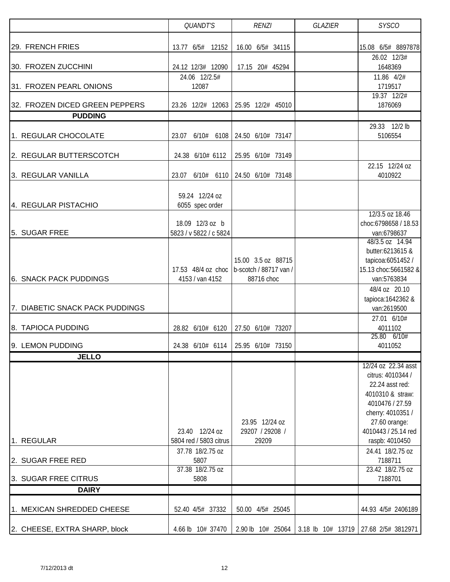|                                 | QUANDT'S                                   | <b>RENZI</b>                                              | <b>SYSCO</b>                        |                                      |
|---------------------------------|--------------------------------------------|-----------------------------------------------------------|-------------------------------------|--------------------------------------|
| 29. FRENCH FRIES                | 13.77 6/5# 12152                           | 16.00 6/5# 34115                                          |                                     | 15.08 6/5# 8897878                   |
|                                 |                                            |                                                           |                                     | 26.02 12/3#                          |
| 30. FROZEN ZUCCHINI             | 24.12 12/3# 12090                          | 17.15 20# 45294                                           |                                     | 1648369                              |
|                                 | 24.06 12/2.5#                              |                                                           |                                     | 11.86 4/2#                           |
| 31. FROZEN PEARL ONIONS         | 12087                                      |                                                           |                                     | 1719517                              |
| 32. FROZEN DICED GREEN PEPPERS  | 23.26 12/2# 12063                          | 25.95 12/2# 45010                                         |                                     | 19.37 12/2#<br>1876069               |
| <b>PUDDING</b>                  |                                            |                                                           |                                     |                                      |
|                                 |                                            |                                                           |                                     | 29.33 12/2 lb                        |
| 1. REGULAR CHOCOLATE            | 6/10# 6108<br>23.07                        | 24.50 6/10# 73147                                         |                                     | 5106554                              |
| 2. REGULAR BUTTERSCOTCH         | 24.38 6/10# 6112                           | 25.95 6/10# 73149                                         |                                     |                                      |
| 3. REGULAR VANILLA              | 6/10# 6110<br>23.07                        | 24.50 6/10# 73148                                         |                                     | 22.15 12/24 oz<br>4010922            |
|                                 |                                            |                                                           |                                     |                                      |
|                                 | 59.24 12/24 oz                             |                                                           |                                     |                                      |
| 4. REGULAR PISTACHIO            | 6055 spec order                            |                                                           |                                     |                                      |
|                                 |                                            |                                                           |                                     | 12/3.5 oz 18.46                      |
| 5. SUGAR FREE                   | 18.09 12/3 oz b<br>5823 / v 5822 / c 5824  |                                                           |                                     | choc:6798658 / 18.53<br>van:6798637  |
|                                 |                                            |                                                           |                                     | 48/3.5 oz 14.94                      |
|                                 |                                            |                                                           |                                     | butter:6213615 &                     |
|                                 |                                            | 15.00 3.5 oz 88715                                        |                                     | tapicoa:6051452 /                    |
| <b>6. SNACK PACK PUDDINGS</b>   | 4153 / van 4152                            | 17.53 48/4 oz choc   b-scotch / 88717 van /<br>88716 choc |                                     | 15.13 choc:5661582 &<br>van:5763834  |
|                                 |                                            |                                                           |                                     | 48/4 oz 20.10                        |
|                                 |                                            |                                                           |                                     | tapioca: 1642362 &                   |
| 7. DIABETIC SNACK PACK PUDDINGS |                                            |                                                           |                                     | van:2619500                          |
|                                 |                                            |                                                           |                                     | 27.01 6/10#                          |
| 8. TAPIOCA PUDDING              | 28.82 6/10# 6120                           | 27.50 6/10# 73207                                         |                                     | 4011102<br>25.80 6/10#               |
| 9. LEMON PUDDING                |                                            | 24.38 6/10# 6114 25.95 6/10# 73150                        |                                     | 4011052                              |
| <b>JELLO</b>                    |                                            |                                                           |                                     |                                      |
|                                 |                                            |                                                           |                                     | 12/24 oz 22.34 asst                  |
|                                 |                                            |                                                           |                                     | citrus: 4010344 /<br>22.24 asst red: |
|                                 |                                            |                                                           |                                     | 4010310 & straw:                     |
|                                 |                                            |                                                           |                                     | 4010476 / 27.59                      |
|                                 |                                            |                                                           |                                     | cherry: 4010351 /                    |
|                                 |                                            | 23.95 12/24 oz                                            |                                     | 27.60 orange:                        |
|                                 | 23.40 12/24 oz                             | 29207 / 29208 /                                           |                                     | 4010443 / 25.14 red                  |
| 1. REGULAR                      | 5804 red / 5803 citrus<br>37.78 18/2.75 oz | 29209                                                     |                                     | raspb: 4010450<br>24.41 18/2.75 oz   |
| 2. SUGAR FREE RED               | 5807                                       |                                                           |                                     | 7188711                              |
|                                 | 37.38 18/2.75 oz                           |                                                           |                                     | 23.42 18/2.75 oz                     |
| 3. SUGAR FREE CITRUS            | 5808                                       |                                                           |                                     | 7188701                              |
| <b>DAIRY</b>                    |                                            |                                                           |                                     |                                      |
| 1. MEXICAN SHREDDED CHEESE      | 52.40 4/5# 37332                           | 50.00 4/5# 25045                                          |                                     | 44.93 4/5# 2406189                   |
|                                 |                                            |                                                           |                                     |                                      |
| 2. CHEESE, EXTRA SHARP, block   | 4.66 lb 10# 37470                          |                                                           | 2.90 lb 10# 25064 3.18 lb 10# 13719 | 27.68 2/5# 3812971                   |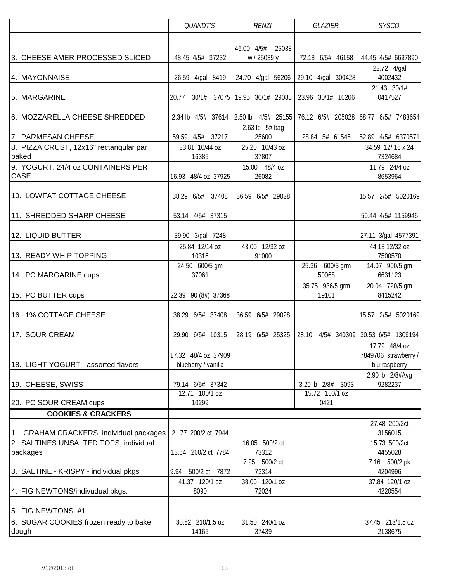|                                                                                  | QUANDT'S                                | <b>RENZI</b>                              | GLAZIER                              | <b>SYSCO</b>                                                               |
|----------------------------------------------------------------------------------|-----------------------------------------|-------------------------------------------|--------------------------------------|----------------------------------------------------------------------------|
|                                                                                  |                                         |                                           |                                      |                                                                            |
| 3. CHEESE AMER PROCESSED SLICED                                                  | 48.45 4/5# 37232                        | 46.00 4/5#<br>25038<br>w / 25039 y        | 72.18 6/5# 46158                     | 44.45 4/5# 6697890                                                         |
|                                                                                  |                                         |                                           |                                      | 22.72 4/gal                                                                |
| 4. MAYONNAISE                                                                    | 26.59 4/gal 8419                        |                                           | 24.70 4/gal 56206 29.10 4/gal 300428 | 4002432                                                                    |
| 5. MARGARINE                                                                     | 20.77<br>30/1#                          | 37075 19.95 30/1# 29088 23.96 30/1# 10206 |                                      | 21.43 30/1#<br>0417527                                                     |
|                                                                                  |                                         |                                           |                                      |                                                                            |
| 6. MOZZARELLA CHEESE SHREDDED                                                    |                                         |                                           |                                      | 2.34 lb 4/5# 37614 2.50 lb 4/5# 25155 76.12 6/5# 205028 68.77 6/5# 7483654 |
| 7. PARMESAN CHEESE                                                               | 59.59 4/5# 37217                        | 2.63 lb 5# bag<br>25600                   | 28.84 5# 61545                       | 52.89 4/5# 6370571                                                         |
| 8. PIZZA CRUST, 12x16" rectangular par                                           | 33.81 10/44 oz                          | 25.20 10/43 oz                            |                                      | 34.59 12/16 x 24                                                           |
| baked<br>9. YOGURT: 24/4 oz CONTAINERS PER                                       | 16385                                   | 37807<br>15.00 48/4 oz                    |                                      | 7324684<br>11.79 24/4 oz                                                   |
| <b>CASE</b>                                                                      | 16.93 48/4 oz 37925                     | 26082                                     |                                      | 8653964                                                                    |
| 10. LOWFAT COTTAGE CHEESE                                                        | 38.29 6/5# 37408                        | 36.59 6/5# 29028                          |                                      | 15.57 2/5# 5020169                                                         |
| 11. SHREDDED SHARP CHEESE                                                        | 53.14 4/5# 37315                        |                                           |                                      | 50.44 4/5# 1159946                                                         |
|                                                                                  |                                         |                                           |                                      |                                                                            |
| 12. LIQUID BUTTER                                                                | 39.90 3/gal 7248                        | 43.00 12/32 oz                            |                                      | 27.11 3/gal 4577391                                                        |
| 13. READY WHIP TOPPING                                                           | 25.84 12/14 oz<br>10316                 | 91000                                     |                                      | 44.13 12/32 oz<br>7500570                                                  |
| 14. PC MARGARINE cups                                                            | 24.50 600/5 gm<br>37061                 |                                           | 25.36 600/5 grm<br>50068             | 14.07 900/5 gm<br>6631123                                                  |
|                                                                                  |                                         |                                           | 35.75 936/5 grm                      | 20.04 720/5 gm                                                             |
| 15. PC BUTTER cups                                                               | 22.39 90 (8#) 37368                     |                                           | 19101                                | 8415242                                                                    |
| 16. 1% COTTAGE CHEESE                                                            | 38.29 6/5# 37408                        | 36.59 6/5# 29028                          |                                      | 15.57 2/5# 5020169                                                         |
| 17. SOUR CREAM                                                                   | 29.90 6/5# 10315                        | 28.19 6/5# 25325                          | 28.10                                | 4/5# 340309 30.53 6/5# 1309194                                             |
|                                                                                  |                                         |                                           |                                      | 17.79 48/4 oz                                                              |
|                                                                                  | 17.32 48/4 oz 37909                     |                                           |                                      | 7849706 strawberry /                                                       |
| 18. LIGHT YOGURT - assorted flavors                                              | blueberry / vanilla                     |                                           |                                      | blu raspberry                                                              |
| 19. CHEESE, SWISS                                                                | 79.14 6/5# 37342                        |                                           | 3.20 lb 2/8#<br>3093                 | 2.90 lb 2/8#Avg<br>9282237                                                 |
|                                                                                  | 12.71 100/1 oz                          |                                           | 15.72 100/1 oz                       |                                                                            |
| 20. PC SOUR CREAM cups                                                           | 10299                                   |                                           | 0421                                 |                                                                            |
| <b>COOKIES &amp; CRACKERS</b>                                                    |                                         |                                           |                                      |                                                                            |
|                                                                                  |                                         |                                           |                                      | 27.48 200/2ct                                                              |
| 1. GRAHAM CRACKERS, individual packages<br>2. SALTINES UNSALTED TOPS, individual | 21.77 200/2 ct 7944                     | 16.05 500/2 ct                            |                                      | 3156015<br>15.73 500/2ct                                                   |
| packages                                                                         | 13.64 200/2 ct 7784                     | 73312                                     |                                      | 4455028                                                                    |
|                                                                                  |                                         | 7.95 500/2 ct                             |                                      | 7.16 500/2 pk                                                              |
| 3. SALTINE - KRISPY - individual pkgs                                            | 9.94<br>500/2 ct 7872<br>41.37 120/1 oz | 73314<br>38.00 120/1 oz                   |                                      | 4204996<br>37.84 120/1 oz                                                  |
| 4. FIG NEWTONS/indivudual pkgs.                                                  | 8090                                    | 72024                                     |                                      | 4220554                                                                    |
| 5. FIG NEWTONS #1                                                                |                                         |                                           |                                      |                                                                            |
| 6. SUGAR COOKIES frozen ready to bake                                            | 30.82 210/1.5 oz                        | 31.50 240/1 oz                            |                                      | 37.45 213/1.5 oz                                                           |
| dough                                                                            | 14165                                   | 37439                                     |                                      | 2138675                                                                    |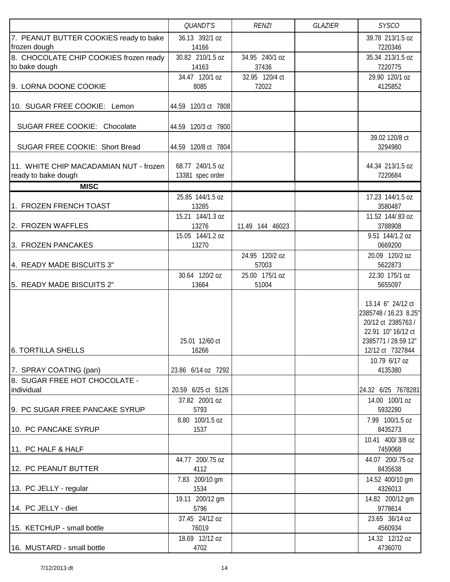|                                                               | QUANDT'S                             | <b>RENZI</b>            | <b>GLAZIER</b> | <b>SYSCO</b>                                                                                                                      |
|---------------------------------------------------------------|--------------------------------------|-------------------------|----------------|-----------------------------------------------------------------------------------------------------------------------------------|
| 7. PEANUT BUTTER COOKIES ready to bake                        | 36.13 392/1 oz                       |                         |                | 39.78 213/1.5 oz                                                                                                                  |
| frozen dough                                                  | 14166                                |                         |                | 7220346                                                                                                                           |
| 8. CHOCOLATE CHIP COOKIES frozen ready                        | 30.82 210/1.5 oz                     | 34.95 240/1 oz          |                | 35.34 213/1.5 oz                                                                                                                  |
| to bake dough                                                 | 14163                                | 37436                   |                | 7220775                                                                                                                           |
|                                                               | 34.47 120/1 oz                       | 32.95 120/4 ct          |                | 29.90 120/1 oz                                                                                                                    |
| 9. LORNA DOONE COOKIE                                         | 8085                                 | 72022                   |                | 4125852                                                                                                                           |
| 10. SUGAR FREE COOKIE: Lemon                                  | 44.59 120/3 ct 7808                  |                         |                |                                                                                                                                   |
| SUGAR FREE COOKIE: Chocolate                                  | 44.59 120/3 ct 7800                  |                         |                |                                                                                                                                   |
| SUGAR FREE COOKIE: Short Bread                                | 44.59 120/8 ct 7804                  |                         |                | 39.02 120/8 ct<br>3294980                                                                                                         |
| 11. WHITE CHIP MACADAMIAN NUT - frozen<br>ready to bake dough | 68.77 240/1.5 oz<br>13381 spec order |                         |                | 44.34 213/1.5 oz<br>7220684                                                                                                       |
| <b>MISC</b>                                                   |                                      |                         |                |                                                                                                                                   |
|                                                               | 25.85 144/1.5 oz                     |                         |                | 17.23 144/1.5 oz                                                                                                                  |
| 1. FROZEN FRENCH TOAST                                        | 13285                                |                         |                | 3580487                                                                                                                           |
| 2. FROZEN WAFFLES                                             | 15.21 144/1.3 oz<br>13276            | 11.49 144 46023         |                | 11.52 144/.83 oz<br>3788908                                                                                                       |
|                                                               | 15.05 144/1.2 oz                     |                         |                | 9.51 144/1.2 oz                                                                                                                   |
| 3. FROZEN PANCAKES                                            | 13270                                |                         |                | 0669200                                                                                                                           |
|                                                               |                                      | 24.95 120/2 oz          |                | 20.09 120/2 oz                                                                                                                    |
| 4. READY MADE BISCUITS 3"                                     |                                      | 57003                   |                | 5622873                                                                                                                           |
| 5. READY MADE BISCUITS 2"                                     | 30.64 120/2 oz<br>13664              | 25.00 175/1 oz<br>51004 |                | 22.30 175/1 oz<br>5655097                                                                                                         |
| <b>6. TORTILLA SHELLS</b>                                     | 25.01 12/60 ct<br>16266              |                         |                | 13.14 6" 24/12 ct<br>2385748 / 16.23 8.25"<br>20/12 ct 2385763 /<br>22.91 10" 16/12 ct<br>2385771 / 28.59 12"<br>12/12 ct 7327844 |
|                                                               |                                      |                         |                | 10.79 6/17 oz                                                                                                                     |
| 7. SPRAY COATING (pan)<br>8. SUGAR FREE HOT CHOCOLATE -       | 23.86 6/14 oz 7292                   |                         |                | 4135380                                                                                                                           |
| individual                                                    | 20.59 6/25 ct 5126                   |                         |                | 24.32 6/25 7678281                                                                                                                |
|                                                               | 37.82 200/1 oz                       |                         |                | 14.00 100/1 oz                                                                                                                    |
| 9. PC SUGAR FREE PANCAKE SYRUP                                | 5793                                 |                         |                | 5932280                                                                                                                           |
|                                                               | 8.80 100/1.5 oz                      |                         |                | 7.99 100/1.5 oz                                                                                                                   |
| 10. PC PANCAKE SYRUP                                          | 1537                                 |                         |                | 8435273                                                                                                                           |
| 11. PC HALF & HALF                                            |                                      |                         |                | 10.41 400/3/8 oz<br>7459068                                                                                                       |
|                                                               | 44.77 200/.75 oz                     |                         |                | 44.07 200/.75 oz                                                                                                                  |
| 12. PC PEANUT BUTTER                                          | 4112                                 |                         |                | 8435638                                                                                                                           |
| 13. PC JELLY - regular                                        | 7.83 200/10 gm<br>1534               |                         |                | 14.52 400/10 gm<br>4326013                                                                                                        |
| 14. PC JELLY - diet                                           | 19.11 200/12 gm<br>5796              |                         |                | 14.82 200/12 gm<br>9778614                                                                                                        |
|                                                               | 37.45 24/12 oz                       |                         |                | 23.65 36/14 oz                                                                                                                    |
| 15. KETCHUP - small bottle                                    | 76019                                |                         |                | 4560934                                                                                                                           |
|                                                               | 18.69 12/12 oz                       |                         |                | 14.32 12/12 oz                                                                                                                    |
| 16. MUSTARD - small bottle                                    | 4702                                 |                         |                | 4736070                                                                                                                           |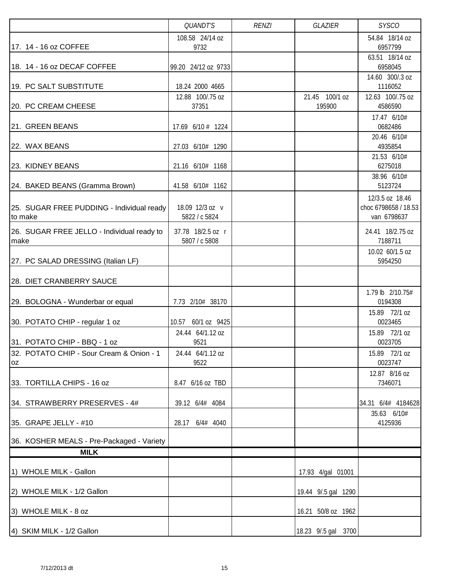|                                                                          | QUANDT'S                  | <b>RENZI</b> | <b>GLAZIER</b>           | <b>SYSCO</b>                |
|--------------------------------------------------------------------------|---------------------------|--------------|--------------------------|-----------------------------|
|                                                                          | 108.58 24/14 oz           |              |                          | 54.84 18/14 oz              |
| 17. 14 - 16 oz COFFEE                                                    | 9732                      |              |                          | 6957799<br>63.51 18/14 oz   |
| 18. 14 - 16 oz DECAF COFFEE                                              | 99.20 24/12 oz 9733       |              |                          | 6958045                     |
|                                                                          |                           |              |                          | 14.60 300/.3 oz             |
| 19. PC SALT SUBSTITUTE                                                   | 18.24 2000 4665           |              |                          | 1116052                     |
| 20. PC CREAM CHEESE                                                      | 12.88 100/.75 oz<br>37351 |              | 21.45 100/1 oz<br>195900 | 12.63 100/.75 oz<br>4586590 |
|                                                                          |                           |              |                          | 17.47 6/10#                 |
| 21. GREEN BEANS                                                          | 17.69 6/10 # 1224         |              |                          | 0682486                     |
| 22. WAX BEANS                                                            | 27.03 6/10# 1290          |              |                          | 20.46 6/10#<br>4935854      |
| 23. KIDNEY BEANS                                                         | 21.16 6/10# 1168          |              |                          | 21.53 6/10#<br>6275018      |
| 24. BAKED BEANS (Gramma Brown)                                           | 41.58 6/10# 1162          |              |                          | 38.96 6/10#<br>5123724      |
|                                                                          |                           |              |                          | 12/3.5 oz 18.46             |
| 25. SUGAR FREE PUDDING - Individual ready                                | 18.09 12/3 oz v           |              |                          | choc 6798658 / 18.53        |
| to make                                                                  | 5822 / c 5824             |              |                          | van 6798637                 |
| 26. SUGAR FREE JELLO - Individual ready to                               | 37.78 18/2.5 oz r         |              |                          | 24.41 18/2.75 oz            |
| make                                                                     | 5807 / c 5808             |              |                          | 7188711                     |
| 27. PC SALAD DRESSING (Italian LF)                                       |                           |              |                          | 10.02 60/1.5 oz<br>5954250  |
|                                                                          |                           |              |                          |                             |
| 28. DIET CRANBERRY SAUCE                                                 |                           |              |                          |                             |
| 29. BOLOGNA - Wunderbar or equal                                         | 7.73 2/10# 38170          |              |                          | 1.79 lb 2/10.75#<br>0194308 |
|                                                                          |                           |              |                          | 15.89 72/1 oz               |
| 30. POTATO CHIP - regular 1 oz                                           | 10.57 60/1 oz 9425        |              |                          | 0023465                     |
|                                                                          | 24.44 64/1.12 oz          |              |                          | 15.89 72/1 oz               |
| 31. POTATO CHIP - BBQ - 1 oz<br>32. POTATO CHIP - Sour Cream & Onion - 1 | 9521<br>24.44 64/1.12 oz  |              |                          | 0023705<br>15.89 72/1 oz    |
| <b>OZ</b>                                                                | 9522                      |              |                          | 0023747                     |
|                                                                          |                           |              |                          | 12.87 8/16 oz               |
| 33. TORTILLA CHIPS - 16 oz                                               | 8.47 6/16 oz TBD          |              |                          | 7346071                     |
| 34. STRAWBERRY PRESERVES - 4#                                            | 39.12 6/4# 4084           |              |                          | 34.31 6/4# 4184628          |
|                                                                          |                           |              |                          | 35.63 6/10#                 |
| 35. GRAPE JELLY - #10                                                    | 28.17<br>6/4# 4040        |              |                          | 4125936                     |
| 36. KOSHER MEALS - Pre-Packaged - Variety                                |                           |              |                          |                             |
| <b>MILK</b>                                                              |                           |              |                          |                             |
| 1) WHOLE MILK - Gallon                                                   |                           |              | 17.93 4/gal 01001        |                             |
| 2) WHOLE MILK - 1/2 Gallon                                               |                           |              | 19.44 9/.5 gal 1290      |                             |
| 3) WHOLE MILK - 8 oz                                                     |                           |              | 16.21 50/8 oz 1962       |                             |
| 4) SKIM MILK - 1/2 Gallon                                                |                           |              | 18.23 9/.5 gal 3700      |                             |